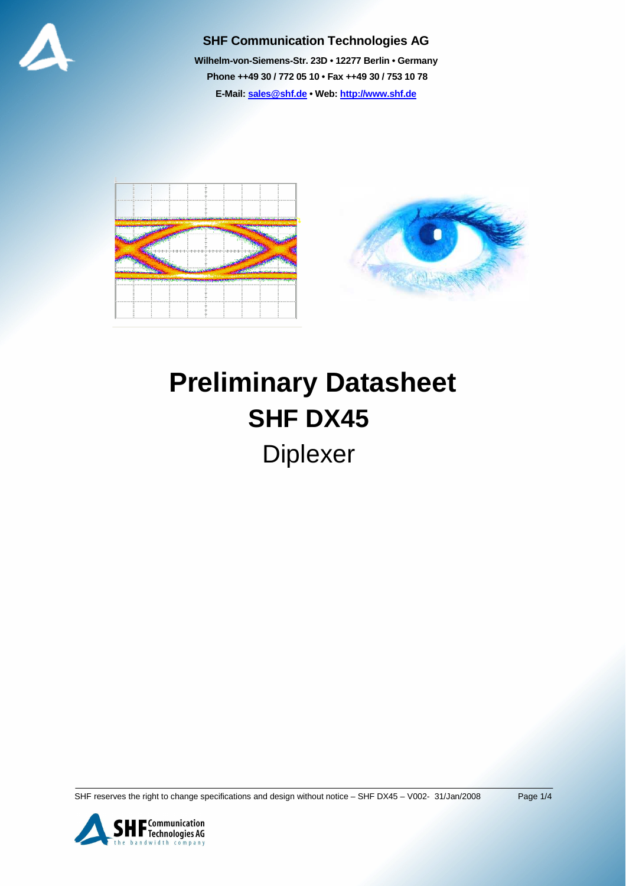

#### **SHF Communication Technologies AG**

**Wilhelm-von-Siemens-Str. 23D • 12277 Berlin • Germany Phone ++49 30 / 772 05 10 • Fax ++49 30 / 753 10 78 E-Mail: sales@shf.de • Web: http://www.shf.de**





# **Preliminary Datasheet SHF DX45**  Diplexer

SHF reserves the right to change specifications and design without notice – SHF DX45 – V002- 31/Jan/2008 Page 1/4

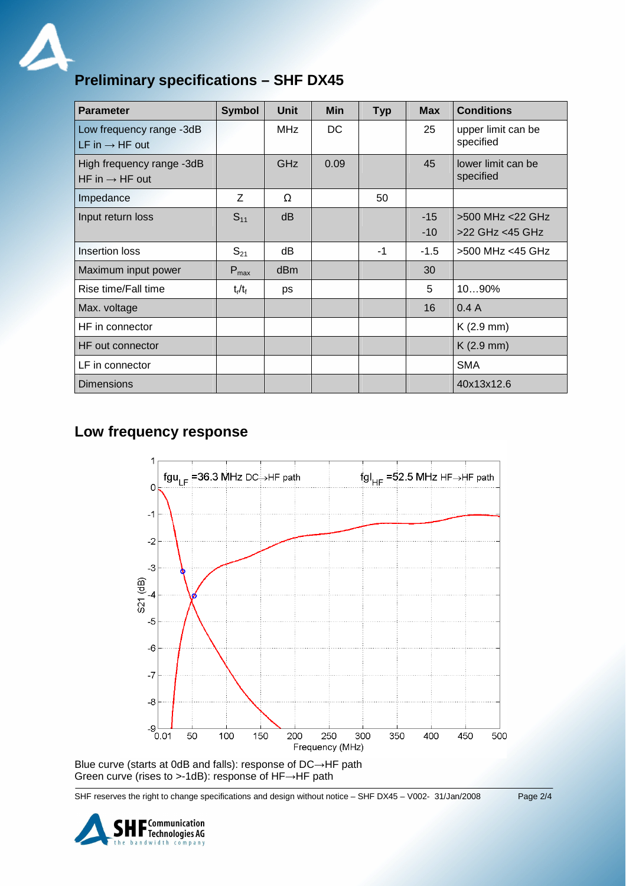

## **Preliminary specifications – SHF DX45**

| <b>Parameter</b>                                        | <b>Symbol</b>    | <b>Unit</b> | <b>Min</b> | <b>Typ</b> | <b>Max</b>     | <b>Conditions</b>                   |
|---------------------------------------------------------|------------------|-------------|------------|------------|----------------|-------------------------------------|
| Low frequency range -3dB<br>LF in $\rightarrow$ HF out  |                  | <b>MHz</b>  | DC         |            | 25             | upper limit can be<br>specified     |
| High frequency range -3dB<br>HF in $\rightarrow$ HF out |                  | <b>GHz</b>  | 0.09       |            | 45             | lower limit can be<br>specified     |
| Impedance                                               | Z                | Ω           |            | 50         |                |                                     |
| Input return loss                                       | $S_{11}$         | dB          |            |            | $-15$<br>$-10$ | >500 MHz <22 GHz<br>>22 GHz <45 GHz |
| <b>Insertion loss</b>                                   | $S_{21}$         | dB          |            | -1         | $-1.5$         | >500 MHz <45 GHz                    |
| Maximum input power                                     | $P_{\text{max}}$ | dBm         |            |            | 30             |                                     |
| Rise time/Fall time                                     | $t_r/t_f$        | ps          |            |            | 5              | 1090%                               |
| Max. voltage                                            |                  |             |            |            | 16             | 0.4A                                |
| HF in connector                                         |                  |             |            |            |                | $K(2.9$ mm)                         |
| HF out connector                                        |                  |             |            |            |                | $K(2.9$ mm)                         |
| LF in connector                                         |                  |             |            |            |                | <b>SMA</b>                          |
| <b>Dimensions</b>                                       |                  |             |            |            |                | 40x13x12.6                          |

#### **Low frequency response**



Green curve (rises to >-1dB): response of HF→HF path

SHF reserves the right to change specifications and design without notice – SHF DX45 – V002- 31/Jan/2008 Page 2/4

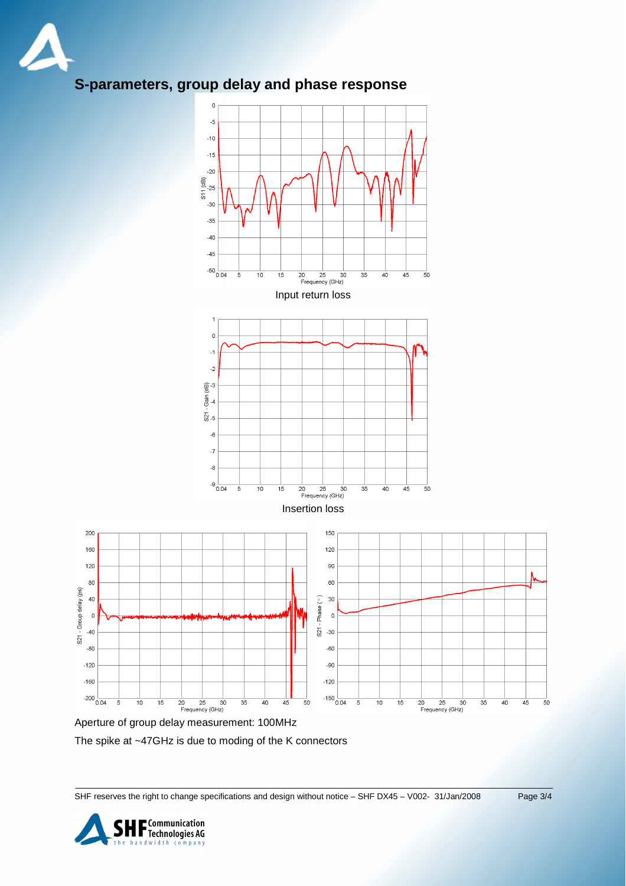

# **S-parameters, group delay and phase response**



Aperture of group delay measurement: 100MHz

The spike at ~47GHz is due to moding of the K connectors

SHF reserves the right to change specifications and design without notice – SHF DX45 – V002- 31/Jan/2008 Page 3/4